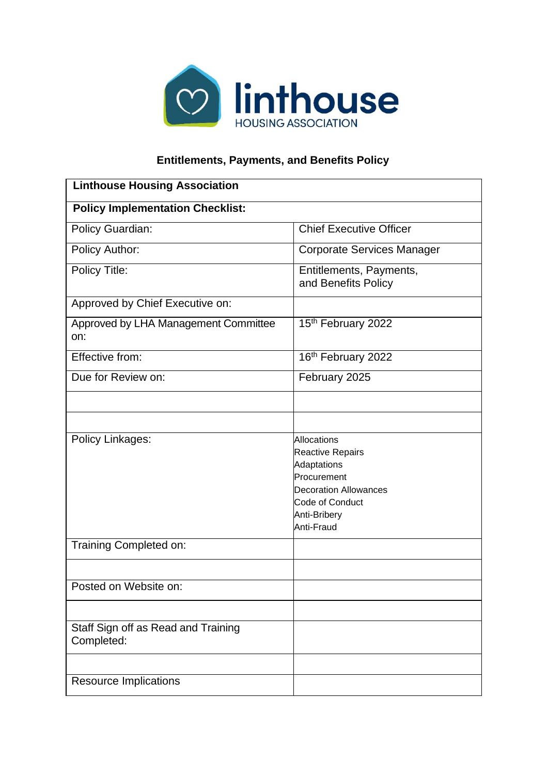

## **Entitlements, Payments, and Benefits Policy**

| <b>Linthouse Housing Association</b>              |                                                                                                                                                       |  |
|---------------------------------------------------|-------------------------------------------------------------------------------------------------------------------------------------------------------|--|
| <b>Policy Implementation Checklist:</b>           |                                                                                                                                                       |  |
| Policy Guardian:                                  | <b>Chief Executive Officer</b>                                                                                                                        |  |
| Policy Author:                                    | <b>Corporate Services Manager</b>                                                                                                                     |  |
| Policy Title:                                     | Entitlements, Payments,<br>and Benefits Policy                                                                                                        |  |
| Approved by Chief Executive on:                   |                                                                                                                                                       |  |
| Approved by LHA Management Committee<br>on:       | 15th February 2022                                                                                                                                    |  |
| Effective from:                                   | 16th February 2022                                                                                                                                    |  |
| Due for Review on:                                | February 2025                                                                                                                                         |  |
|                                                   |                                                                                                                                                       |  |
|                                                   |                                                                                                                                                       |  |
| Policy Linkages:                                  | <b>Allocations</b><br>Reactive Repairs<br>Adaptations<br>Procurement<br><b>Decoration Allowances</b><br>Code of Conduct<br>Anti-Bribery<br>Anti-Fraud |  |
| Training Completed on:                            |                                                                                                                                                       |  |
| Posted on Website on:                             |                                                                                                                                                       |  |
| Staff Sign off as Read and Training<br>Completed: |                                                                                                                                                       |  |
|                                                   |                                                                                                                                                       |  |
| <b>Resource Implications</b>                      |                                                                                                                                                       |  |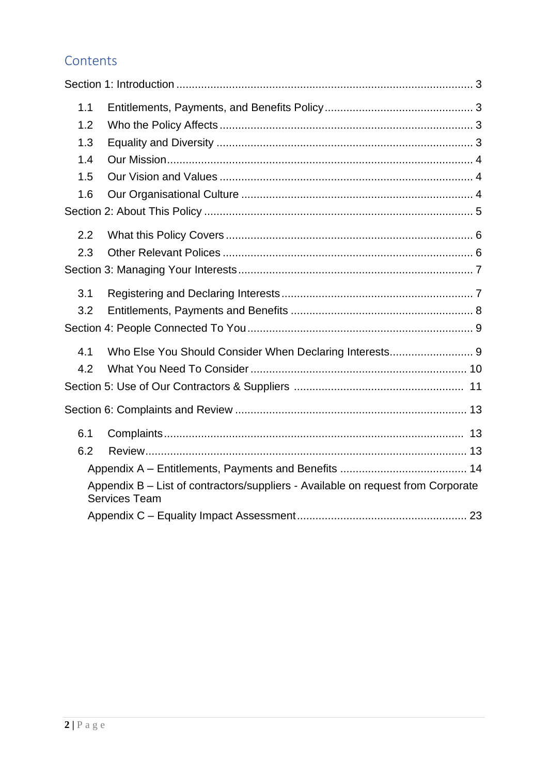## Contents

| 1.1 |                                                                                                          |
|-----|----------------------------------------------------------------------------------------------------------|
| 1.2 |                                                                                                          |
| 1.3 |                                                                                                          |
| 1.4 |                                                                                                          |
| 1.5 |                                                                                                          |
| 1.6 |                                                                                                          |
|     |                                                                                                          |
| 2.2 |                                                                                                          |
| 2.3 |                                                                                                          |
|     |                                                                                                          |
| 3.1 |                                                                                                          |
| 3.2 |                                                                                                          |
|     |                                                                                                          |
| 4.1 | Who Else You Should Consider When Declaring Interests 9                                                  |
| 4.2 |                                                                                                          |
|     |                                                                                                          |
|     |                                                                                                          |
| 6.1 |                                                                                                          |
| 6.2 |                                                                                                          |
|     |                                                                                                          |
|     | Appendix B - List of contractors/suppliers - Available on request from Corporate<br><b>Services Team</b> |
|     |                                                                                                          |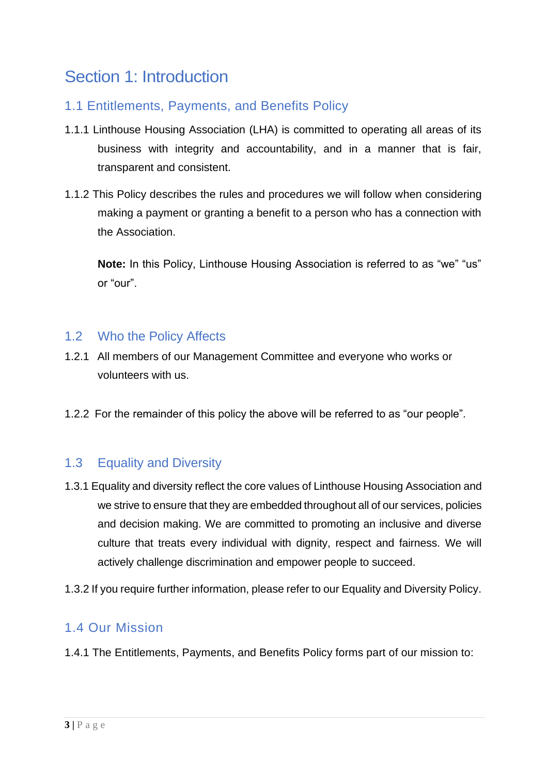# Section 1: Introduction

## 1.1 Entitlements, Payments, and Benefits Policy

- 1.1.1 Linthouse Housing Association (LHA) is committed to operating all areas of its business with integrity and accountability, and in a manner that is fair, transparent and consistent.
- 1.1.2 This Policy describes the rules and procedures we will follow when considering making a payment or granting a benefit to a person who has a connection with the Association.

**Note:** In this Policy, Linthouse Housing Association is referred to as "we" "us" or "our".

### 1.2 Who the Policy Affects

- 1.2.1 All members of our Management Committee and everyone who works or volunteers with us.
- 1.2.2 For the remainder of this policy the above will be referred to as "our people".

## 1.3 Equality and Diversity

- 1.3.1 Equality and diversity reflect the core values of Linthouse Housing Association and we strive to ensure that they are embedded throughout all of our services, policies and decision making. We are committed to promoting an inclusive and diverse culture that treats every individual with dignity, respect and fairness. We will actively challenge discrimination and empower people to succeed.
- 1.3.2 If you require further information, please refer to our Equality and Diversity Policy.

## 1.4 Our Mission

1.4.1 The Entitlements, Payments, and Benefits Policy forms part of our mission to: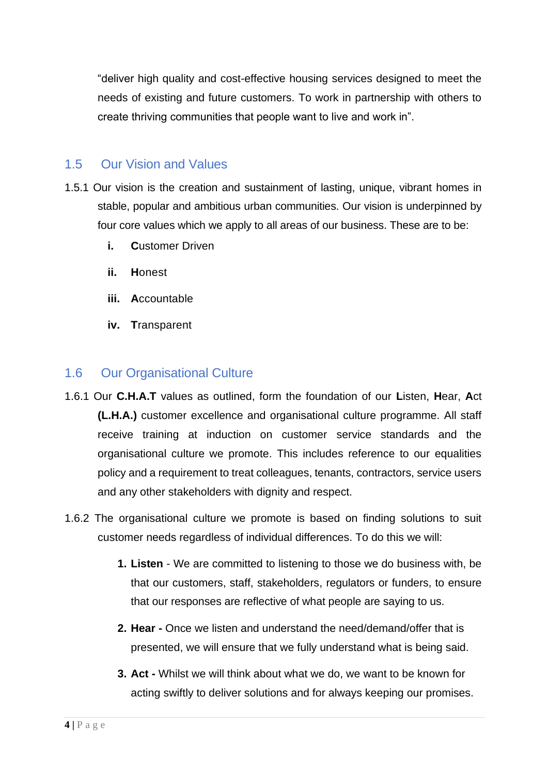"deliver high quality and cost-effective housing services designed to meet the needs of existing and future customers. To work in partnership with others to create thriving communities that people want to live and work in".

### 1.5 Our Vision and Values

- 1.5.1 Our vision is the creation and sustainment of lasting, unique, vibrant homes in stable, popular and ambitious urban communities. Our vision is underpinned by four core values which we apply to all areas of our business. These are to be:
	- **i. C**ustomer Driven
	- **ii. H**onest
	- **iii. A**ccountable
	- **iv. T**ransparent

### 1.6 Our Organisational Culture

- 1.6.1 Our **C.H.A.T** values as outlined, form the foundation of our **L**isten, **H**ear, **A**ct **(L.H.A.)** customer excellence and organisational culture programme. All staff receive training at induction on customer service standards and the organisational culture we promote. This includes reference to our equalities policy and a requirement to treat colleagues, tenants, contractors, service users and any other stakeholders with dignity and respect.
- 1.6.2 The organisational culture we promote is based on finding solutions to suit customer needs regardless of individual differences. To do this we will:
	- **1. Listen**  We are committed to listening to those we do business with, be that our customers, staff, stakeholders, regulators or funders, to ensure that our responses are reflective of what people are saying to us.
	- **2. Hear -** Once we listen and understand the need/demand/offer that is presented, we will ensure that we fully understand what is being said.
	- **3. Act -** Whilst we will think about what we do, we want to be known for acting swiftly to deliver solutions and for always keeping our promises.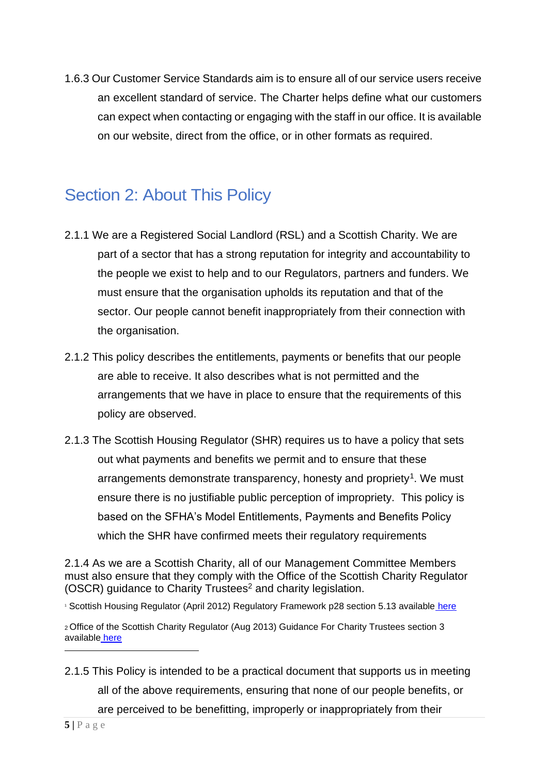1.6.3 Our Customer Service Standards aim is to ensure all of our service users receive an excellent standard of service. The Charter helps define what our customers can expect when contacting or engaging with the staff in our office. It is available on our website, direct from the office, or in other formats as required.

## Section 2: About This Policy

- 2.1.1 We are a Registered Social Landlord (RSL) and a Scottish Charity. We are part of a sector that has a strong reputation for integrity and accountability to the people we exist to help and to our Regulators, partners and funders. We must ensure that the organisation upholds its reputation and that of the sector. Our people cannot benefit inappropriately from their connection with the organisation.
- 2.1.2 This policy describes the entitlements, payments or benefits that our people are able to receive. It also describes what is not permitted and the arrangements that we have in place to ensure that the requirements of this policy are observed.
- 2.1.3 The Scottish Housing Regulator (SHR) requires us to have a policy that sets out what payments and benefits we permit and to ensure that these arrangements demonstrate transparency, honesty and propriety<sup>1</sup>. We must ensure there is no justifiable public perception of impropriety. This policy is based on the SFHA's Model Entitlements, Payments and Benefits Policy which the SHR have confirmed meets their regulatory requirements

2.1.4 As we are a Scottish Charity, all of our Management Committee Members must also ensure that they comply with the Office of the Scottish Charity Regulator (OSCR) guidance to Charity Trustees<sup>2</sup> and charity legislation.

<sup>1</sup> Scottish Housing Regulator (April 2012) Regulatory Framework p28 section 5.13 available [here](http://www.scottishhousingregulator.gov.uk/sites/default/files/publications/Our%20Regulatory%20Framework.pdf)

2.1.5 This Policy is intended to be a practical document that supports us in meeting all of the above requirements, ensuring that none of our people benefits, or are perceived to be benefitting, improperly or inappropriately from their

<sup>2</sup>Office of the Scottish Charity Regulator (Aug 2013) Guidance For Charity Trustees section 3 available [here](http://www.oscr.org.uk/media/1571/Guidance%20for%20Charity%20Trustees%20updated%20Sept%202010.pdf)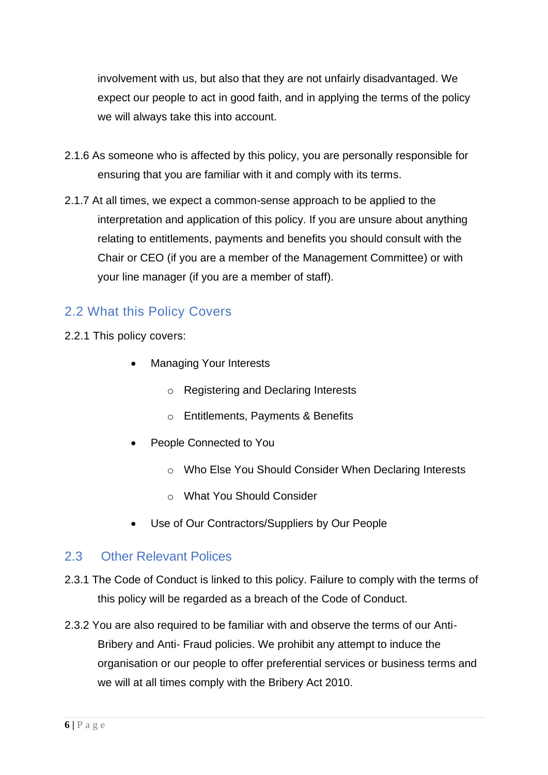involvement with us, but also that they are not unfairly disadvantaged. We expect our people to act in good faith, and in applying the terms of the policy we will always take this into account.

- 2.1.6 As someone who is affected by this policy, you are personally responsible for ensuring that you are familiar with it and comply with its terms.
- 2.1.7 At all times, we expect a common-sense approach to be applied to the interpretation and application of this policy. If you are unsure about anything relating to entitlements, payments and benefits you should consult with the Chair or CEO (if you are a member of the Management Committee) or with your line manager (if you are a member of staff).

### 2.2 What this Policy Covers

- 2.2.1 This policy covers:
	- Managing Your Interests
		- o Registering and Declaring Interests
		- o Entitlements, Payments & Benefits
	- People Connected to You
		- o Who Else You Should Consider When Declaring Interests
		- o What You Should Consider
	- Use of Our Contractors/Suppliers by Our People

### 2.3 Other Relevant Polices

- 2.3.1 The Code of Conduct is linked to this policy. Failure to comply with the terms of this policy will be regarded as a breach of the Code of Conduct.
- 2.3.2 You are also required to be familiar with and observe the terms of our Anti-Bribery and Anti- Fraud policies. We prohibit any attempt to induce the organisation or our people to offer preferential services or business terms and we will at all times comply with the Bribery Act 2010.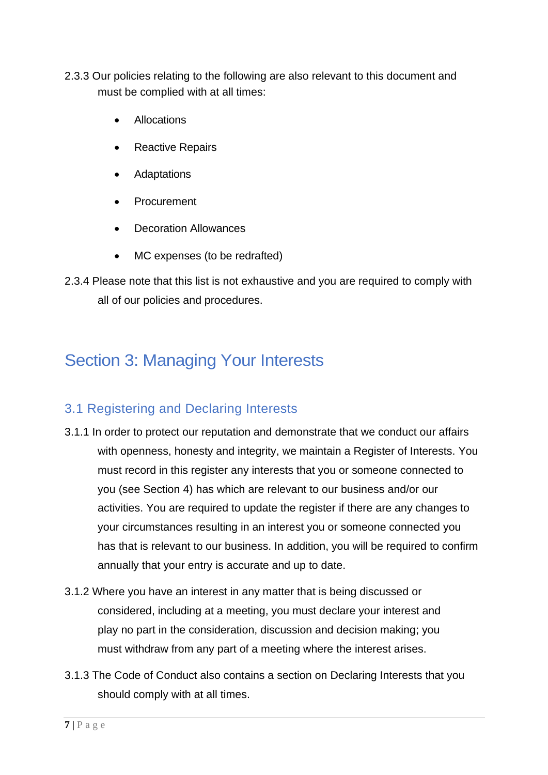- 2.3.3 Our policies relating to the following are also relevant to this document and must be complied with at all times:
	- Allocations
	- Reactive Repairs
	- Adaptations
	- Procurement
	- Decoration Allowances
	- MC expenses (to be redrafted)
- 2.3.4 Please note that this list is not exhaustive and you are required to comply with all of our policies and procedures.

# Section 3: Managing Your Interests

## 3.1 Registering and Declaring Interests

- 3.1.1 In order to protect our reputation and demonstrate that we conduct our affairs with openness, honesty and integrity, we maintain a Register of Interests. You must record in this register any interests that you or someone connected to you (see Section 4) has which are relevant to our business and/or our activities. You are required to update the register if there are any changes to your circumstances resulting in an interest you or someone connected you has that is relevant to our business. In addition, you will be required to confirm annually that your entry is accurate and up to date.
- 3.1.2 Where you have an interest in any matter that is being discussed or considered, including at a meeting, you must declare your interest and play no part in the consideration, discussion and decision making; you must withdraw from any part of a meeting where the interest arises.
- 3.1.3 The Code of Conduct also contains a section on Declaring Interests that you should comply with at all times.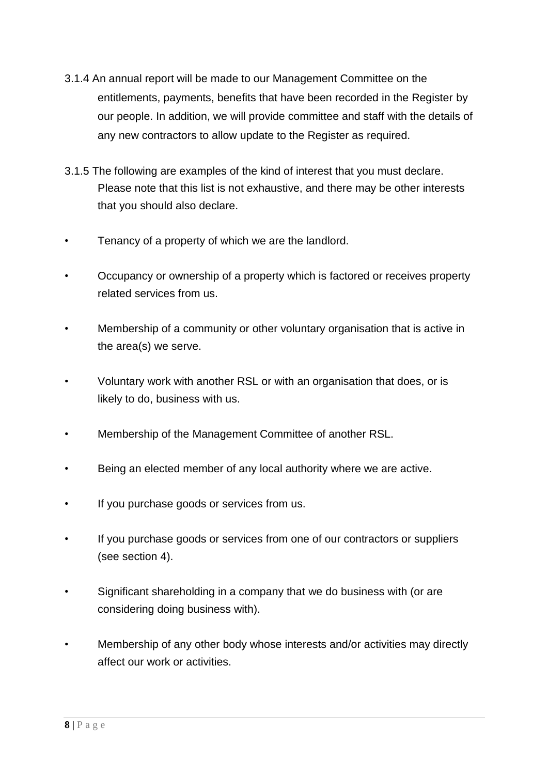- 3.1.4 An annual report will be made to our Management Committee on the entitlements, payments, benefits that have been recorded in the Register by our people. In addition, we will provide committee and staff with the details of any new contractors to allow update to the Register as required.
- 3.1.5 The following are examples of the kind of interest that you must declare. Please note that this list is not exhaustive, and there may be other interests that you should also declare.
- Tenancy of a property of which we are the landlord.
- Occupancy or ownership of a property which is factored or receives property related services from us.
- Membership of a community or other voluntary organisation that is active in the area(s) we serve.
- Voluntary work with another RSL or with an organisation that does, or is likely to do, business with us.
- Membership of the Management Committee of another RSL.
- Being an elected member of any local authority where we are active.
- If you purchase goods or services from us.
- If you purchase goods or services from one of our contractors or suppliers (see section 4).
- Significant shareholding in a company that we do business with (or are considering doing business with).
- Membership of any other body whose interests and/or activities may directly affect our work or activities.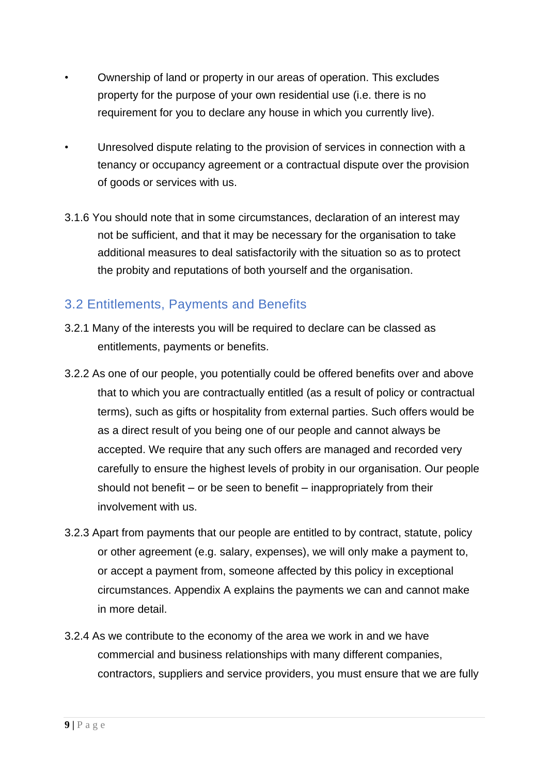- Ownership of land or property in our areas of operation. This excludes property for the purpose of your own residential use (i.e. there is no requirement for you to declare any house in which you currently live).
- Unresolved dispute relating to the provision of services in connection with a tenancy or occupancy agreement or a contractual dispute over the provision of goods or services with us.
- 3.1.6 You should note that in some circumstances, declaration of an interest may not be sufficient, and that it may be necessary for the organisation to take additional measures to deal satisfactorily with the situation so as to protect the probity and reputations of both yourself and the organisation.

## 3.2 Entitlements, Payments and Benefits

- 3.2.1 Many of the interests you will be required to declare can be classed as entitlements, payments or benefits.
- 3.2.2 As one of our people, you potentially could be offered benefits over and above that to which you are contractually entitled (as a result of policy or contractual terms), such as gifts or hospitality from external parties. Such offers would be as a direct result of you being one of our people and cannot always be accepted. We require that any such offers are managed and recorded very carefully to ensure the highest levels of probity in our organisation. Our people should not benefit – or be seen to benefit – inappropriately from their involvement with us.
- 3.2.3 Apart from payments that our people are entitled to by contract, statute, policy or other agreement (e.g. salary, expenses), we will only make a payment to, or accept a payment from, someone affected by this policy in exceptional circumstances. Appendix A explains the payments we can and cannot make in more detail.
- 3.2.4 As we contribute to the economy of the area we work in and we have commercial and business relationships with many different companies, contractors, suppliers and service providers, you must ensure that we are fully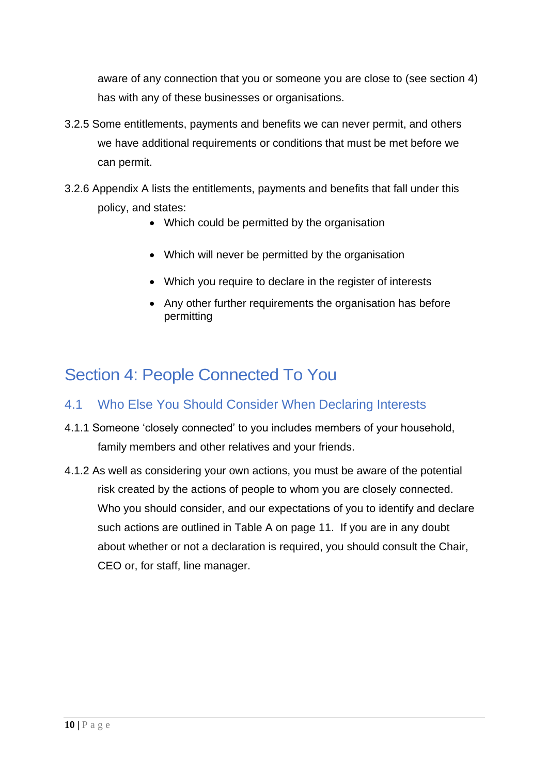aware of any connection that you or someone you are close to (see section 4) has with any of these businesses or organisations.

- 3.2.5 Some entitlements, payments and benefits we can never permit, and others we have additional requirements or conditions that must be met before we can permit.
- 3.2.6 Appendix A lists the entitlements, payments and benefits that fall under this policy, and states:
	- Which could be permitted by the organisation
	- Which will never be permitted by the organisation
	- Which you require to declare in the register of interests
	- Any other further requirements the organisation has before permitting

# Section 4: People Connected To You

## 4.1 Who Else You Should Consider When Declaring Interests

- 4.1.1 Someone 'closely connected' to you includes members of your household, family members and other relatives and your friends.
- 4.1.2 As well as considering your own actions, you must be aware of the potential risk created by the actions of people to whom you are closely connected. Who you should consider, and our expectations of you to identify and declare such actions are outlined in Table A on page 11. If you are in any doubt about whether or not a declaration is required, you should consult the Chair, CEO or, for staff, line manager.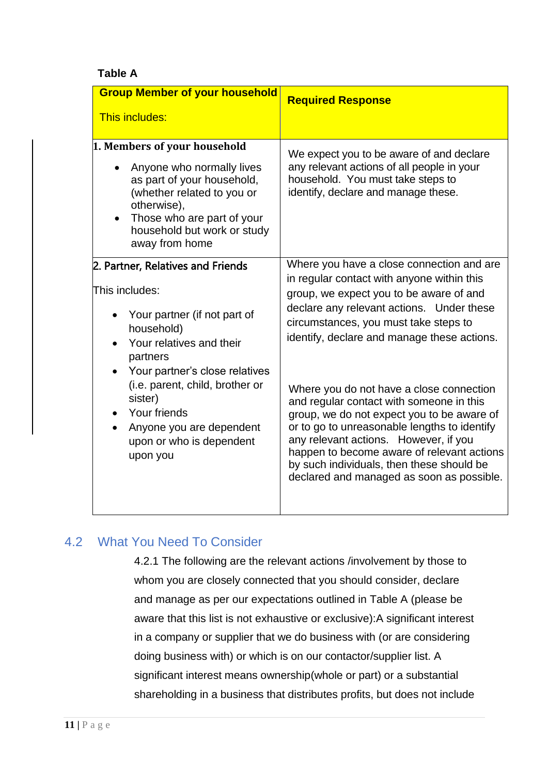#### **Table A**

| <b>Group Member of your household</b>                                                                                                                                                                               | <b>Required Response</b>                                                                                                                                                                                                                                                                                                                                            |
|---------------------------------------------------------------------------------------------------------------------------------------------------------------------------------------------------------------------|---------------------------------------------------------------------------------------------------------------------------------------------------------------------------------------------------------------------------------------------------------------------------------------------------------------------------------------------------------------------|
| <b>This includes:</b>                                                                                                                                                                                               |                                                                                                                                                                                                                                                                                                                                                                     |
| 1. Members of your household<br>Anyone who normally lives<br>as part of your household,<br>(whether related to you or<br>otherwise),<br>Those who are part of your<br>household but work or study<br>away from home | We expect you to be aware of and declare<br>any relevant actions of all people in your<br>household. You must take steps to<br>identify, declare and manage these.                                                                                                                                                                                                  |
| 2. Partner, Relatives and Friends<br>This includes:<br>Your partner (if not part of<br>household)<br>Your relatives and their<br>partners                                                                           | Where you have a close connection and are<br>in regular contact with anyone within this<br>group, we expect you to be aware of and<br>declare any relevant actions. Under these<br>circumstances, you must take steps to<br>identify, declare and manage these actions.                                                                                             |
| Your partner's close relatives<br>(i.e. parent, child, brother or<br>sister)<br>Your friends<br>Anyone you are dependent<br>upon or who is dependent<br>upon you                                                    | Where you do not have a close connection<br>and regular contact with someone in this<br>group, we do not expect you to be aware of<br>or to go to unreasonable lengths to identify<br>any relevant actions. However, if you<br>happen to become aware of relevant actions<br>by such individuals, then these should be<br>declared and managed as soon as possible. |

## 4.2 What You Need To Consider

4.2.1 The following are the relevant actions /involvement by those to whom you are closely connected that you should consider, declare and manage as per our expectations outlined in Table A (please be aware that this list is not exhaustive or exclusive):A significant interest in a company or supplier that we do business with (or are considering doing business with) or which is on our contactor/supplier list. A significant interest means ownership(whole or part) or a substantial shareholding in a business that distributes profits, but does not include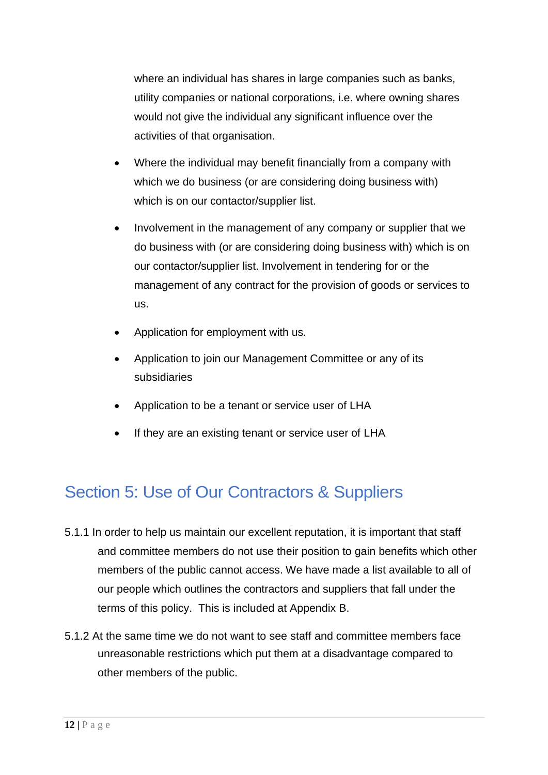where an individual has shares in large companies such as banks, utility companies or national corporations, i.e. where owning shares would not give the individual any significant influence over the activities of that organisation.

- Where the individual may benefit financially from a company with which we do business (or are considering doing business with) which is on our contactor/supplier list.
- Involvement in the management of any company or supplier that we do business with (or are considering doing business with) which is on our contactor/supplier list. Involvement in tendering for or the management of any contract for the provision of goods or services to us.
- Application for employment with us.
- Application to join our Management Committee or any of its subsidiaries
- Application to be a tenant or service user of LHA
- If they are an existing tenant or service user of LHA

# Section 5: Use of Our Contractors & Suppliers

- 5.1.1 In order to help us maintain our excellent reputation, it is important that staff and committee members do not use their position to gain benefits which other members of the public cannot access. We have made a list available to all of our people which outlines the contractors and suppliers that fall under the terms of this policy. This is included at Appendix B.
- 5.1.2 At the same time we do not want to see staff and committee members face unreasonable restrictions which put them at a disadvantage compared to other members of the public.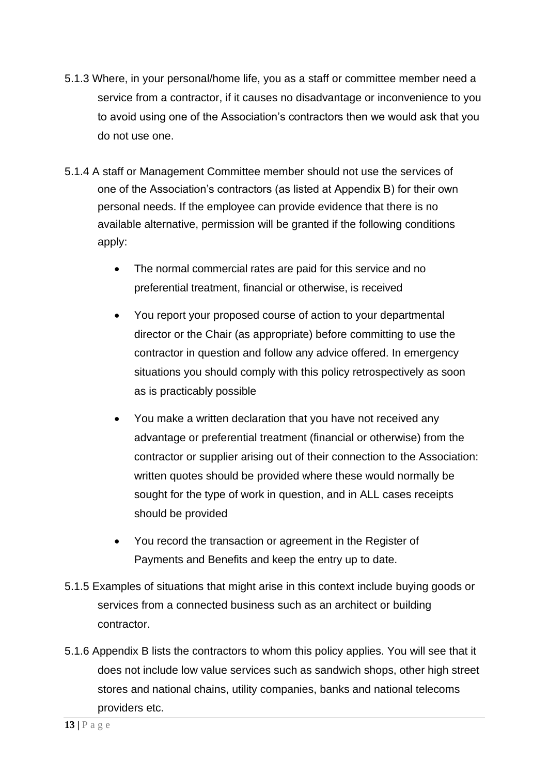- 5.1.3 Where, in your personal/home life, you as a staff or committee member need a service from a contractor, if it causes no disadvantage or inconvenience to you to avoid using one of the Association's contractors then we would ask that you do not use one.
- 5.1.4 A staff or Management Committee member should not use the services of one of the Association's contractors (as listed at Appendix B) for their own personal needs. If the employee can provide evidence that there is no available alternative, permission will be granted if the following conditions apply:
	- The normal commercial rates are paid for this service and no preferential treatment, financial or otherwise, is received
	- You report your proposed course of action to your departmental director or the Chair (as appropriate) before committing to use the contractor in question and follow any advice offered. In emergency situations you should comply with this policy retrospectively as soon as is practicably possible
	- You make a written declaration that you have not received any advantage or preferential treatment (financial or otherwise) from the contractor or supplier arising out of their connection to the Association: written quotes should be provided where these would normally be sought for the type of work in question, and in ALL cases receipts should be provided
	- You record the transaction or agreement in the Register of Payments and Benefits and keep the entry up to date.
- 5.1.5 Examples of situations that might arise in this context include buying goods or services from a connected business such as an architect or building contractor.
- 5.1.6 Appendix B lists the contractors to whom this policy applies. You will see that it does not include low value services such as sandwich shops, other high street stores and national chains, utility companies, banks and national telecoms providers etc.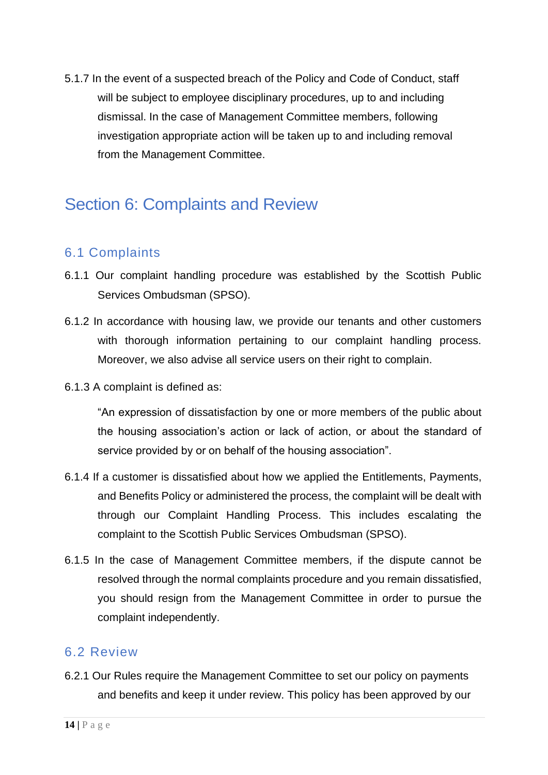5.1.7 In the event of a suspected breach of the Policy and Code of Conduct, staff will be subject to employee disciplinary procedures, up to and including dismissal. In the case of Management Committee members, following investigation appropriate action will be taken up to and including removal from the Management Committee.

# Section 6: Complaints and Review

## 6.1 Complaints

- 6.1.1 Our complaint handling procedure was established by the Scottish Public Services Ombudsman (SPSO).
- 6.1.2 In accordance with housing law, we provide our tenants and other customers with thorough information pertaining to our complaint handling process. Moreover, we also advise all service users on their right to complain.
- 6.1.3 A complaint is defined as:

"An expression of dissatisfaction by one or more members of the public about the housing association's action or lack of action, or about the standard of service provided by or on behalf of the housing association".

- 6.1.4 If a customer is dissatisfied about how we applied the Entitlements, Payments, and Benefits Policy or administered the process, the complaint will be dealt with through our Complaint Handling Process. This includes escalating the complaint to the Scottish Public Services Ombudsman (SPSO).
- 6.1.5 In the case of Management Committee members, if the dispute cannot be resolved through the normal complaints procedure and you remain dissatisfied, you should resign from the Management Committee in order to pursue the complaint independently.

#### 6.2 Review

6.2.1 Our Rules require the Management Committee to set our policy on payments and benefits and keep it under review. This policy has been approved by our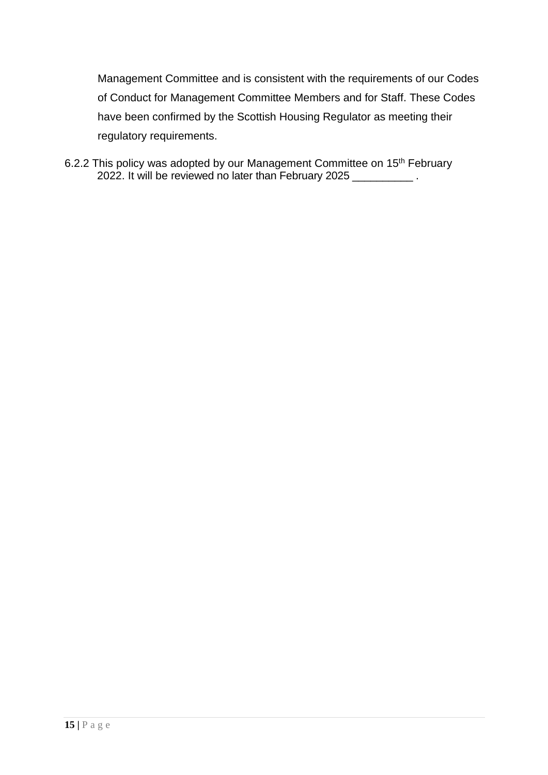Management Committee and is consistent with the requirements of our Codes of Conduct for Management Committee Members and for Staff. These Codes have been confirmed by the Scottish Housing Regulator as meeting their regulatory requirements.

6.2.2 This policy was adopted by our Management Committee on 15<sup>th</sup> February 2022. It will be reviewed no later than February 2025 \_\_\_\_\_\_\_\_\_\_ .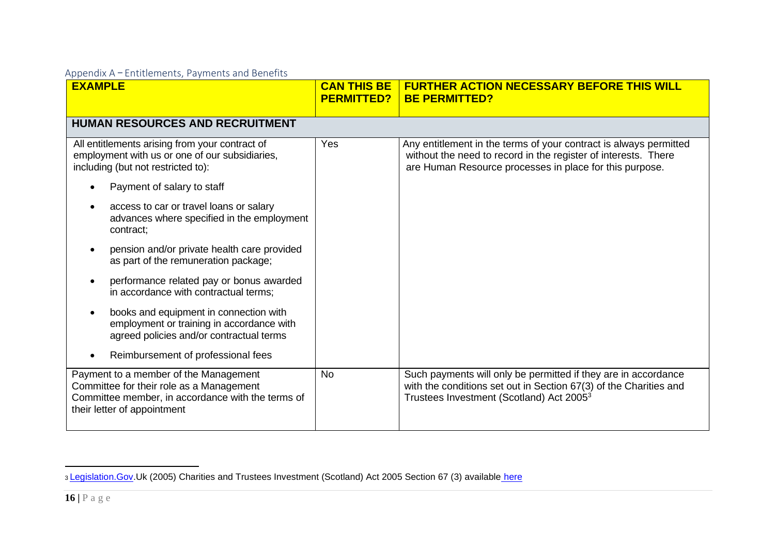| <b>EXAMPLE</b>                                                                                                                                                        | <b>CAN THIS BE</b><br><b>PERMITTED?</b> | <b>FURTHER ACTION NECESSARY BEFORE THIS WILL</b><br><b>BE PERMITTED?</b>                                                                                                                       |
|-----------------------------------------------------------------------------------------------------------------------------------------------------------------------|-----------------------------------------|------------------------------------------------------------------------------------------------------------------------------------------------------------------------------------------------|
| <b>HUMAN RESOURCES AND RECRUITMENT</b>                                                                                                                                |                                         |                                                                                                                                                                                                |
| All entitlements arising from your contract of<br>employment with us or one of our subsidiaries,<br>including (but not restricted to):                                | Yes                                     | Any entitlement in the terms of your contract is always permitted<br>without the need to record in the register of interests. There<br>are Human Resource processes in place for this purpose. |
| Payment of salary to staff                                                                                                                                            |                                         |                                                                                                                                                                                                |
| access to car or travel loans or salary<br>advances where specified in the employment<br>contract;                                                                    |                                         |                                                                                                                                                                                                |
| pension and/or private health care provided<br>as part of the remuneration package;                                                                                   |                                         |                                                                                                                                                                                                |
| performance related pay or bonus awarded<br>in accordance with contractual terms;                                                                                     |                                         |                                                                                                                                                                                                |
| books and equipment in connection with<br>employment or training in accordance with<br>agreed policies and/or contractual terms                                       |                                         |                                                                                                                                                                                                |
| Reimbursement of professional fees                                                                                                                                    |                                         |                                                                                                                                                                                                |
| Payment to a member of the Management<br>Committee for their role as a Management<br>Committee member, in accordance with the terms of<br>their letter of appointment | <b>No</b>                               | Such payments will only be permitted if they are in accordance<br>with the conditions set out in Section 67(3) of the Charities and<br>Trustees Investment (Scotland) Act 2005 <sup>3</sup>    |

<sup>3</sup> [Legislation.Gov.](http://legislation.gov/)Uk (2005) Charities and Trustees Investment (Scotland) Act 2005 Section 67 (3) available [here](http://www.legislation.gov.uk/asp/2005/10/part/1/chapter/9)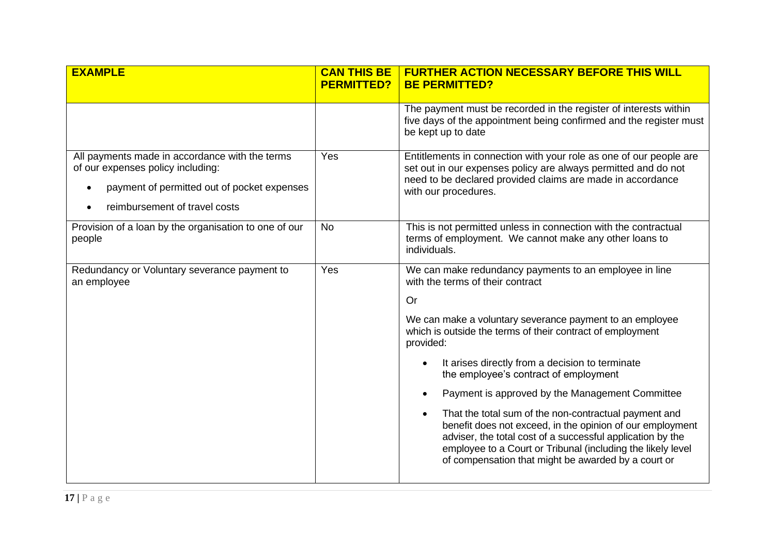| <b>EXAMPLE</b>                                                                                                                                                                   | <b>CAN THIS BE</b><br><b>PERMITTED?</b> | <b>FURTHER ACTION NECESSARY BEFORE THIS WILL</b><br><b>BE PERMITTED?</b>                                                                                                                                                                                                                                                                                                                                                                                                                                                                                                                                                                                                                                                                       |
|----------------------------------------------------------------------------------------------------------------------------------------------------------------------------------|-----------------------------------------|------------------------------------------------------------------------------------------------------------------------------------------------------------------------------------------------------------------------------------------------------------------------------------------------------------------------------------------------------------------------------------------------------------------------------------------------------------------------------------------------------------------------------------------------------------------------------------------------------------------------------------------------------------------------------------------------------------------------------------------------|
|                                                                                                                                                                                  |                                         | The payment must be recorded in the register of interests within<br>five days of the appointment being confirmed and the register must<br>be kept up to date                                                                                                                                                                                                                                                                                                                                                                                                                                                                                                                                                                                   |
| All payments made in accordance with the terms<br>of our expenses policy including:<br>payment of permitted out of pocket expenses<br>$\bullet$<br>reimbursement of travel costs | Yes                                     | Entitlements in connection with your role as one of our people are<br>set out in our expenses policy are always permitted and do not<br>need to be declared provided claims are made in accordance<br>with our procedures.                                                                                                                                                                                                                                                                                                                                                                                                                                                                                                                     |
| Provision of a loan by the organisation to one of our<br>people                                                                                                                  | <b>No</b>                               | This is not permitted unless in connection with the contractual<br>terms of employment. We cannot make any other loans to<br>individuals.                                                                                                                                                                                                                                                                                                                                                                                                                                                                                                                                                                                                      |
| Redundancy or Voluntary severance payment to<br>an employee                                                                                                                      | Yes                                     | We can make redundancy payments to an employee in line<br>with the terms of their contract<br><b>Or</b><br>We can make a voluntary severance payment to an employee<br>which is outside the terms of their contract of employment<br>provided:<br>It arises directly from a decision to terminate<br>$\bullet$<br>the employee's contract of employment<br>Payment is approved by the Management Committee<br>$\bullet$<br>That the total sum of the non-contractual payment and<br>$\bullet$<br>benefit does not exceed, in the opinion of our employment<br>adviser, the total cost of a successful application by the<br>employee to a Court or Tribunal (including the likely level<br>of compensation that might be awarded by a court or |
|                                                                                                                                                                                  |                                         |                                                                                                                                                                                                                                                                                                                                                                                                                                                                                                                                                                                                                                                                                                                                                |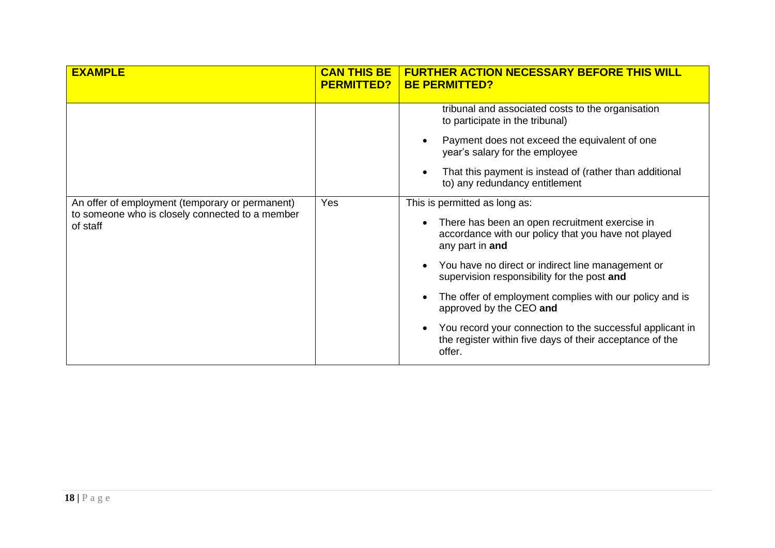| <b>EXAMPLE</b>                                              | <b>CAN THIS BE</b><br><b>PERMITTED?</b> | <b>FURTHER ACTION NECESSARY BEFORE THIS WILL</b><br><b>BE PERMITTED?</b>                                                                     |
|-------------------------------------------------------------|-----------------------------------------|----------------------------------------------------------------------------------------------------------------------------------------------|
|                                                             |                                         | tribunal and associated costs to the organisation<br>to participate in the tribunal)                                                         |
|                                                             |                                         | Payment does not exceed the equivalent of one<br>$\bullet$<br>year's salary for the employee                                                 |
|                                                             |                                         | That this payment is instead of (rather than additional<br>$\bullet$<br>to) any redundancy entitlement                                       |
| An offer of employment (temporary or permanent)             | Yes                                     | This is permitted as long as:                                                                                                                |
| to someone who is closely connected to a member<br>of staff |                                         | There has been an open recruitment exercise in<br>$\bullet$<br>accordance with our policy that you have not played<br>any part in and        |
|                                                             |                                         | You have no direct or indirect line management or<br>$\bullet$<br>supervision responsibility for the post and                                |
|                                                             |                                         | The offer of employment complies with our policy and is<br>$\bullet$<br>approved by the CEO and                                              |
|                                                             |                                         | You record your connection to the successful applicant in<br>$\bullet$<br>the register within five days of their acceptance of the<br>offer. |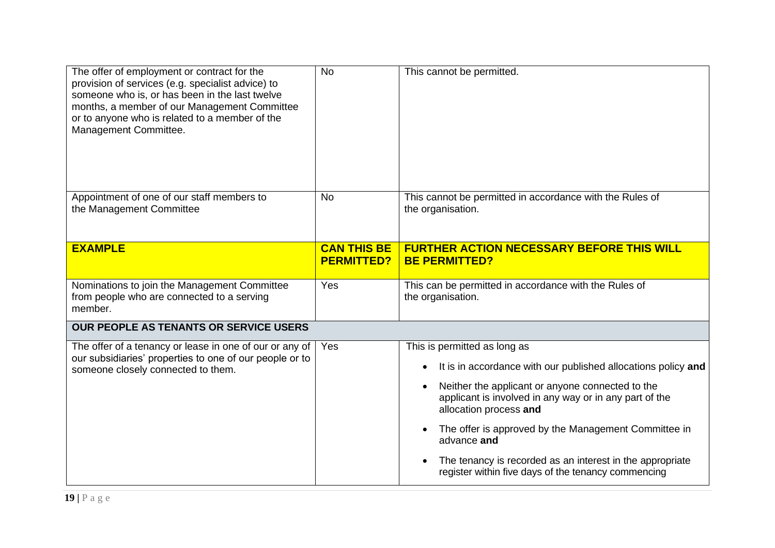| The offer of employment or contract for the<br>provision of services (e.g. specialist advice) to<br>someone who is, or has been in the last twelve<br>months, a member of our Management Committee<br>or to anyone who is related to a member of the<br>Management Committee. | <b>No</b>                               | This cannot be permitted.                                                                                                            |
|-------------------------------------------------------------------------------------------------------------------------------------------------------------------------------------------------------------------------------------------------------------------------------|-----------------------------------------|--------------------------------------------------------------------------------------------------------------------------------------|
| Appointment of one of our staff members to<br>the Management Committee                                                                                                                                                                                                        | <b>No</b>                               | This cannot be permitted in accordance with the Rules of<br>the organisation.                                                        |
| <b>EXAMPLE</b>                                                                                                                                                                                                                                                                | <b>CAN THIS BE</b><br><b>PERMITTED?</b> | <b>FURTHER ACTION NECESSARY BEFORE THIS WILL</b><br><b>BE PERMITTED?</b>                                                             |
| Nominations to join the Management Committee<br>from people who are connected to a serving<br>member.                                                                                                                                                                         | Yes                                     | This can be permitted in accordance with the Rules of<br>the organisation.                                                           |
| OUR PEOPLE AS TENANTS OR SERVICE USERS                                                                                                                                                                                                                                        |                                         |                                                                                                                                      |
| The offer of a tenancy or lease in one of our or any of<br>our subsidiaries' properties to one of our people or to                                                                                                                                                            | Yes                                     | This is permitted as long as                                                                                                         |
| someone closely connected to them.                                                                                                                                                                                                                                            |                                         | It is in accordance with our published allocations policy and                                                                        |
|                                                                                                                                                                                                                                                                               |                                         |                                                                                                                                      |
|                                                                                                                                                                                                                                                                               |                                         | Neither the applicant or anyone connected to the<br>applicant is involved in any way or in any part of the<br>allocation process and |
|                                                                                                                                                                                                                                                                               |                                         | The offer is approved by the Management Committee in<br>advance and                                                                  |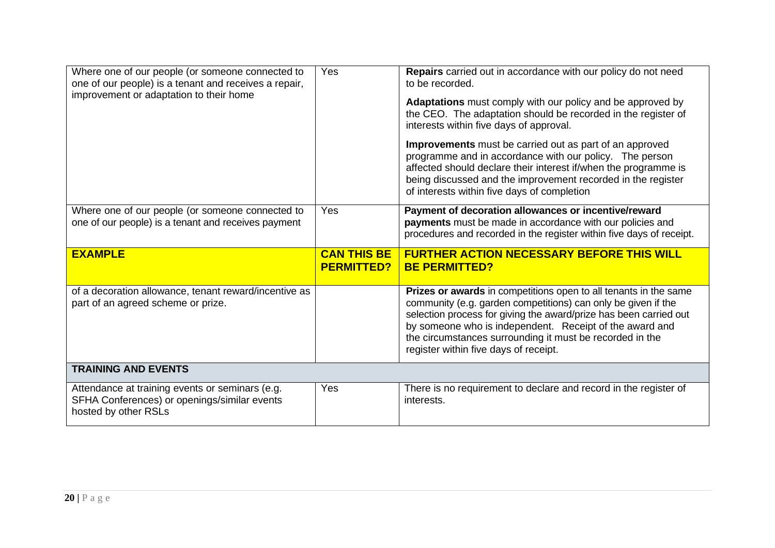| Where one of our people (or someone connected to<br>one of our people) is a tenant and receives a repair,<br>improvement or adaptation to their home | Yes                                     | Repairs carried out in accordance with our policy do not need<br>to be recorded.<br>Adaptations must comply with our policy and be approved by<br>the CEO. The adaptation should be recorded in the register of<br>interests within five days of approval.<br>Improvements must be carried out as part of an approved                                                  |
|------------------------------------------------------------------------------------------------------------------------------------------------------|-----------------------------------------|------------------------------------------------------------------------------------------------------------------------------------------------------------------------------------------------------------------------------------------------------------------------------------------------------------------------------------------------------------------------|
|                                                                                                                                                      |                                         | programme and in accordance with our policy. The person<br>affected should declare their interest if/when the programme is<br>being discussed and the improvement recorded in the register<br>of interests within five days of completion                                                                                                                              |
| Where one of our people (or someone connected to<br>one of our people) is a tenant and receives payment                                              | Yes                                     | Payment of decoration allowances or incentive/reward<br>payments must be made in accordance with our policies and<br>procedures and recorded in the register within five days of receipt.                                                                                                                                                                              |
|                                                                                                                                                      |                                         |                                                                                                                                                                                                                                                                                                                                                                        |
| <b>EXAMPLE</b>                                                                                                                                       | <b>CAN THIS BE</b><br><b>PERMITTED?</b> | <b>FURTHER ACTION NECESSARY BEFORE THIS WILL</b><br><b>BE PERMITTED?</b>                                                                                                                                                                                                                                                                                               |
| of a decoration allowance, tenant reward/incentive as<br>part of an agreed scheme or prize.                                                          |                                         | Prizes or awards in competitions open to all tenants in the same<br>community (e.g. garden competitions) can only be given if the<br>selection process for giving the award/prize has been carried out<br>by someone who is independent. Receipt of the award and<br>the circumstances surrounding it must be recorded in the<br>register within five days of receipt. |
| <b>TRAINING AND EVENTS</b>                                                                                                                           |                                         |                                                                                                                                                                                                                                                                                                                                                                        |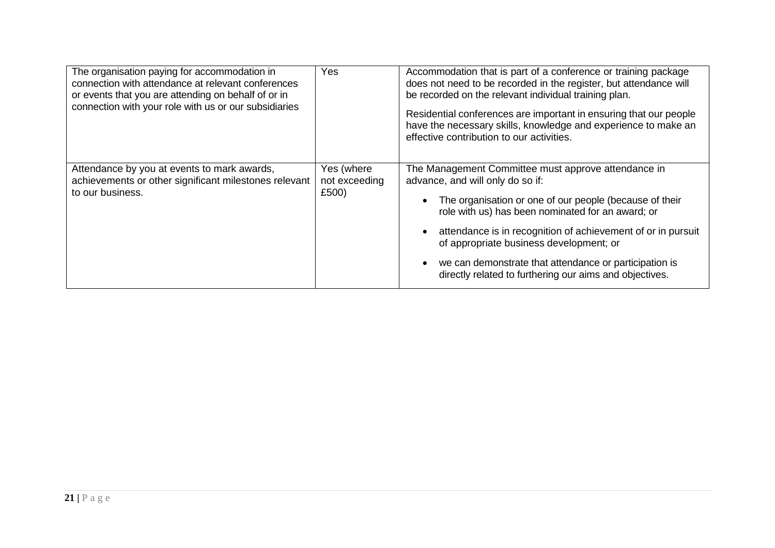| The organisation paying for accommodation in<br>connection with attendance at relevant conferences<br>or events that you are attending on behalf of or in<br>connection with your role with us or our subsidiaries | Yes                                  | Accommodation that is part of a conference or training package<br>does not need to be recorded in the register, but attendance will<br>be recorded on the relevant individual training plan.<br>Residential conferences are important in ensuring that our people<br>have the necessary skills, knowledge and experience to make an<br>effective contribution to our activities.                                                        |
|--------------------------------------------------------------------------------------------------------------------------------------------------------------------------------------------------------------------|--------------------------------------|-----------------------------------------------------------------------------------------------------------------------------------------------------------------------------------------------------------------------------------------------------------------------------------------------------------------------------------------------------------------------------------------------------------------------------------------|
| Attendance by you at events to mark awards,<br>achievements or other significant milestones relevant<br>to our business.                                                                                           | Yes (where<br>not exceeding<br>£500) | The Management Committee must approve attendance in<br>advance, and will only do so if:<br>The organisation or one of our people (because of their<br>role with us) has been nominated for an award; or<br>attendance is in recognition of achievement of or in pursuit<br>of appropriate business development; or<br>we can demonstrate that attendance or participation is<br>directly related to furthering our aims and objectives. |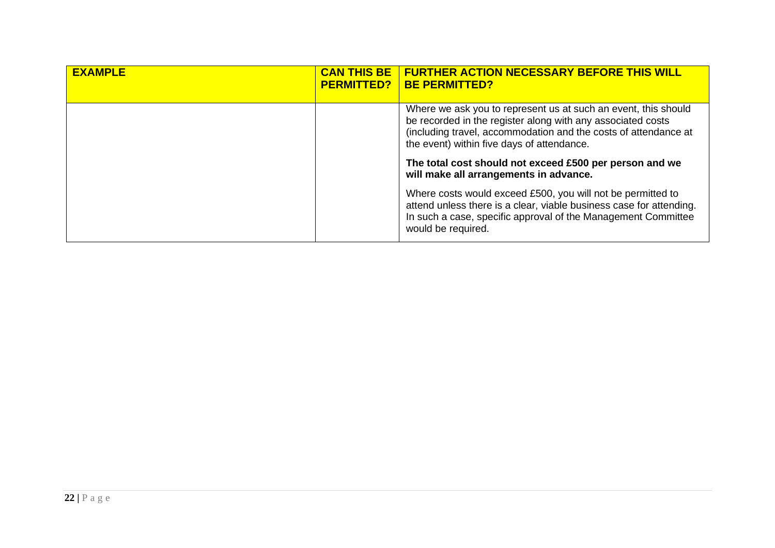| <b>EXAMPLE</b> | <b>CAN THIS BE</b><br><b>PERMITTED?</b> | FURTHER ACTION NECESSARY BEFORE THIS WILL<br><b>BE PERMITTED?</b>                                                                                                                                                                              |
|----------------|-----------------------------------------|------------------------------------------------------------------------------------------------------------------------------------------------------------------------------------------------------------------------------------------------|
|                |                                         | Where we ask you to represent us at such an event, this should<br>be recorded in the register along with any associated costs<br>(including travel, accommodation and the costs of attendance at<br>the event) within five days of attendance. |
|                |                                         | The total cost should not exceed £500 per person and we<br>will make all arrangements in advance.                                                                                                                                              |
|                |                                         | Where costs would exceed £500, you will not be permitted to<br>attend unless there is a clear, viable business case for attending.<br>In such a case, specific approval of the Management Committee<br>would be required.                      |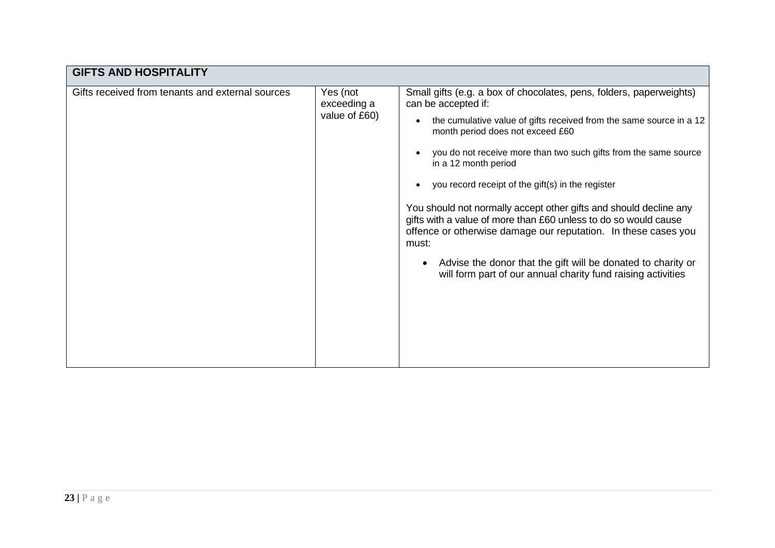| <b>GIFTS AND HOSPITALITY</b>                                                                 |  |                                                                                                                                                                                                                 |  |  |  |
|----------------------------------------------------------------------------------------------|--|-----------------------------------------------------------------------------------------------------------------------------------------------------------------------------------------------------------------|--|--|--|
| Gifts received from tenants and external sources<br>Yes (not<br>exceeding a<br>value of £60) |  | Small gifts (e.g. a box of chocolates, pens, folders, paperweights)<br>can be accepted if:<br>the cumulative value of gifts received from the same source in a 12<br>month period does not exceed £60           |  |  |  |
|                                                                                              |  | you do not receive more than two such gifts from the same source<br>in a 12 month period                                                                                                                        |  |  |  |
|                                                                                              |  |                                                                                                                                                                                                                 |  |  |  |
|                                                                                              |  | You should not normally accept other gifts and should decline any<br>gifts with a value of more than £60 unless to do so would cause<br>offence or otherwise damage our reputation. In these cases you<br>must: |  |  |  |
|                                                                                              |  | Advise the donor that the gift will be donated to charity or<br>$\bullet$<br>will form part of our annual charity fund raising activities                                                                       |  |  |  |
|                                                                                              |  |                                                                                                                                                                                                                 |  |  |  |
|                                                                                              |  |                                                                                                                                                                                                                 |  |  |  |
|                                                                                              |  |                                                                                                                                                                                                                 |  |  |  |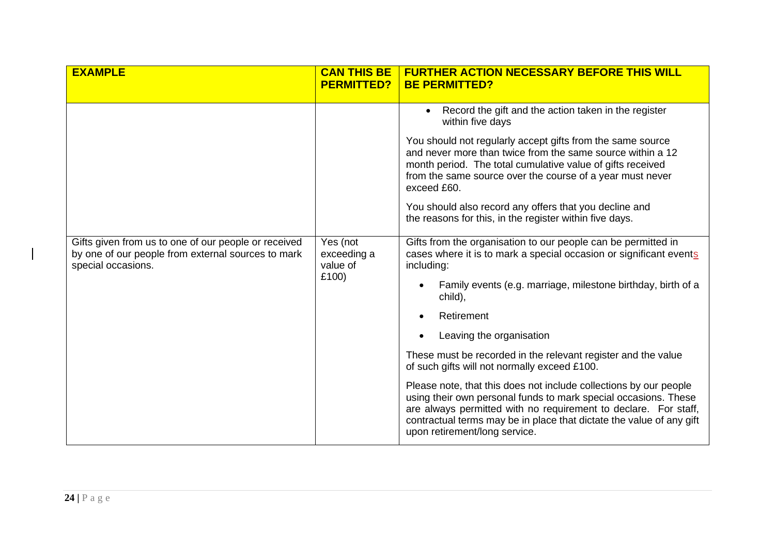| <b>EXAMPLE</b>                                                                                                                   | <b>CAN THIS BE</b><br><b>PERMITTED?</b> | <b>FURTHER ACTION NECESSARY BEFORE THIS WILL</b><br><b>BE PERMITTED?</b>                                                                                                                                                                                                                                         |
|----------------------------------------------------------------------------------------------------------------------------------|-----------------------------------------|------------------------------------------------------------------------------------------------------------------------------------------------------------------------------------------------------------------------------------------------------------------------------------------------------------------|
|                                                                                                                                  |                                         | Record the gift and the action taken in the register<br>within five days                                                                                                                                                                                                                                         |
|                                                                                                                                  |                                         | You should not regularly accept gifts from the same source<br>and never more than twice from the same source within a 12<br>month period. The total cumulative value of gifts received<br>from the same source over the course of a year must never<br>exceed £60.                                               |
|                                                                                                                                  |                                         | You should also record any offers that you decline and<br>the reasons for this, in the register within five days.                                                                                                                                                                                                |
| Gifts given from us to one of our people or received<br>by one of our people from external sources to mark<br>special occasions. | Yes (not<br>exceeding a<br>value of     | Gifts from the organisation to our people can be permitted in<br>cases where it is to mark a special occasion or significant events<br>including:                                                                                                                                                                |
| £100)                                                                                                                            |                                         | Family events (e.g. marriage, milestone birthday, birth of a<br>$\bullet$<br>child),                                                                                                                                                                                                                             |
|                                                                                                                                  |                                         | Retirement                                                                                                                                                                                                                                                                                                       |
|                                                                                                                                  |                                         | Leaving the organisation<br>$\bullet$                                                                                                                                                                                                                                                                            |
|                                                                                                                                  |                                         | These must be recorded in the relevant register and the value<br>of such gifts will not normally exceed £100.                                                                                                                                                                                                    |
|                                                                                                                                  |                                         | Please note, that this does not include collections by our people<br>using their own personal funds to mark special occasions. These<br>are always permitted with no requirement to declare. For staff,<br>contractual terms may be in place that dictate the value of any gift<br>upon retirement/long service. |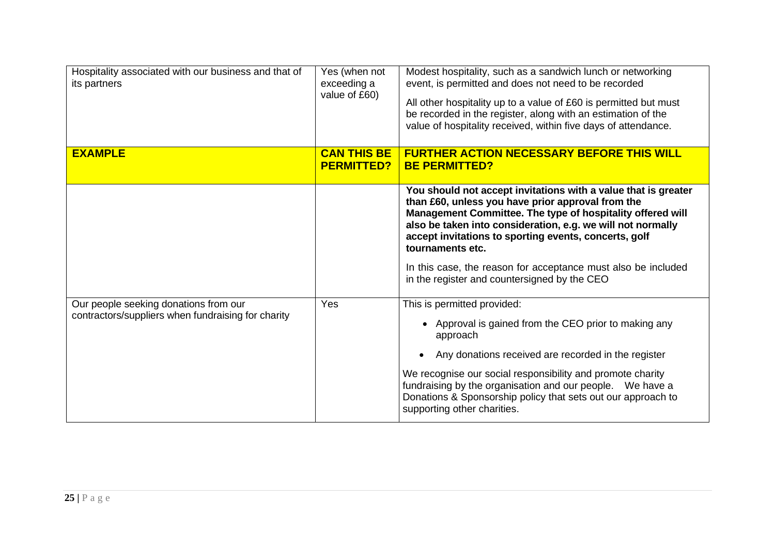| Hospitality associated with our business and that of<br>its partners                        | Yes (when not<br>exceeding a<br>value of £60) | Modest hospitality, such as a sandwich lunch or networking<br>event, is permitted and does not need to be recorded<br>All other hospitality up to a value of £60 is permitted but must<br>be recorded in the register, along with an estimation of the<br>value of hospitality received, within five days of attendance.                                                                                                                       |
|---------------------------------------------------------------------------------------------|-----------------------------------------------|------------------------------------------------------------------------------------------------------------------------------------------------------------------------------------------------------------------------------------------------------------------------------------------------------------------------------------------------------------------------------------------------------------------------------------------------|
| <b>EXAMPLE</b>                                                                              | <b>CAN THIS BE</b><br><b>PERMITTED?</b>       | <b>FURTHER ACTION NECESSARY BEFORE THIS WILL</b><br><b>BE PERMITTED?</b>                                                                                                                                                                                                                                                                                                                                                                       |
|                                                                                             |                                               | You should not accept invitations with a value that is greater<br>than £60, unless you have prior approval from the<br>Management Committee. The type of hospitality offered will<br>also be taken into consideration, e.g. we will not normally<br>accept invitations to sporting events, concerts, golf<br>tournaments etc.<br>In this case, the reason for acceptance must also be included<br>in the register and countersigned by the CEO |
| Our people seeking donations from our<br>contractors/suppliers when fundraising for charity | Yes                                           | This is permitted provided:<br>Approval is gained from the CEO prior to making any<br>approach<br>Any donations received are recorded in the register<br>We recognise our social responsibility and promote charity<br>fundraising by the organisation and our people. We have a<br>Donations & Sponsorship policy that sets out our approach to<br>supporting other charities.                                                                |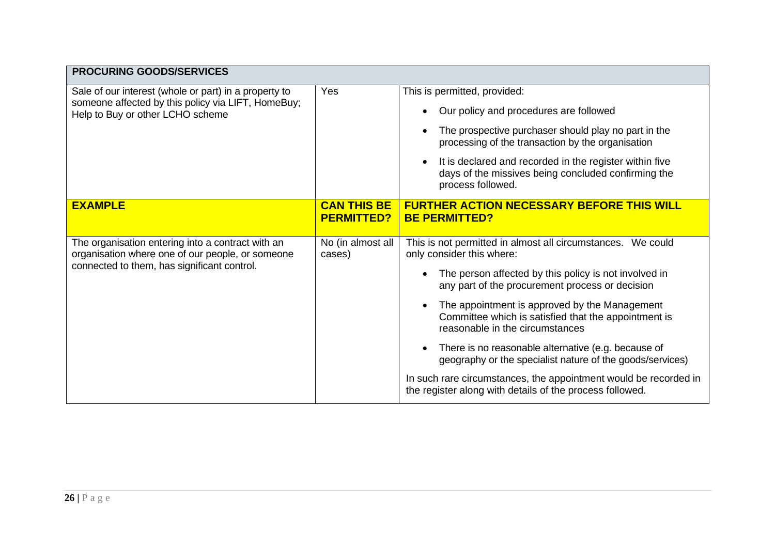| <b>PROCURING GOODS/SERVICES</b>                                                                                                                      |                                         |                                                                                                                                                                                                                                                                                                                                                                                                                                                                                                                                                                                                                                |
|------------------------------------------------------------------------------------------------------------------------------------------------------|-----------------------------------------|--------------------------------------------------------------------------------------------------------------------------------------------------------------------------------------------------------------------------------------------------------------------------------------------------------------------------------------------------------------------------------------------------------------------------------------------------------------------------------------------------------------------------------------------------------------------------------------------------------------------------------|
| Sale of our interest (whole or part) in a property to<br>someone affected by this policy via LIFT, HomeBuy;<br>Help to Buy or other LCHO scheme      | Yes                                     | This is permitted, provided:<br>Our policy and procedures are followed<br>The prospective purchaser should play no part in the<br>processing of the transaction by the organisation<br>It is declared and recorded in the register within five<br>$\bullet$<br>days of the missives being concluded confirming the<br>process followed.                                                                                                                                                                                                                                                                                        |
| <b>EXAMPLE</b>                                                                                                                                       | <b>CAN THIS BE</b><br><b>PERMITTED?</b> | <b>FURTHER ACTION NECESSARY BEFORE THIS WILL</b><br><b>BE PERMITTED?</b>                                                                                                                                                                                                                                                                                                                                                                                                                                                                                                                                                       |
| The organisation entering into a contract with an<br>organisation where one of our people, or someone<br>connected to them, has significant control. | No (in almost all<br>cases)             | This is not permitted in almost all circumstances. We could<br>only consider this where:<br>The person affected by this policy is not involved in<br>any part of the procurement process or decision<br>The appointment is approved by the Management<br>$\bullet$<br>Committee which is satisfied that the appointment is<br>reasonable in the circumstances<br>There is no reasonable alternative (e.g. because of<br>$\bullet$<br>geography or the specialist nature of the goods/services)<br>In such rare circumstances, the appointment would be recorded in<br>the register along with details of the process followed. |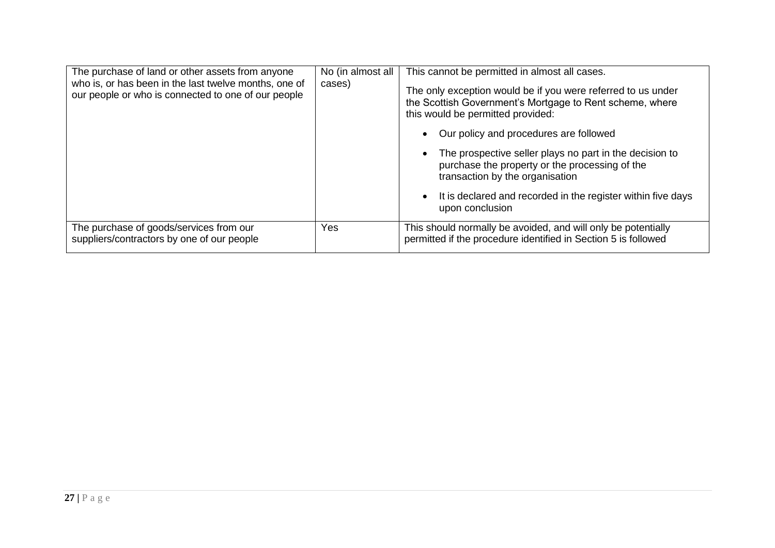| The purchase of land or other assets from anyone<br>who is, or has been in the last twelve months, one of<br>our people or who is connected to one of our people | No (in almost all<br>cases) | This cannot be permitted in almost all cases.<br>The only exception would be if you were referred to us under<br>the Scottish Government's Mortgage to Rent scheme, where<br>this would be permitted provided:<br>Our policy and procedures are followed<br>$\bullet$<br>The prospective seller plays no part in the decision to<br>$\bullet$<br>purchase the property or the processing of the<br>transaction by the organisation<br>It is declared and recorded in the register within five days<br>$\bullet$<br>upon conclusion |
|------------------------------------------------------------------------------------------------------------------------------------------------------------------|-----------------------------|------------------------------------------------------------------------------------------------------------------------------------------------------------------------------------------------------------------------------------------------------------------------------------------------------------------------------------------------------------------------------------------------------------------------------------------------------------------------------------------------------------------------------------|
| The purchase of goods/services from our<br>suppliers/contractors by one of our people                                                                            | Yes                         | This should normally be avoided, and will only be potentially<br>permitted if the procedure identified in Section 5 is followed                                                                                                                                                                                                                                                                                                                                                                                                    |